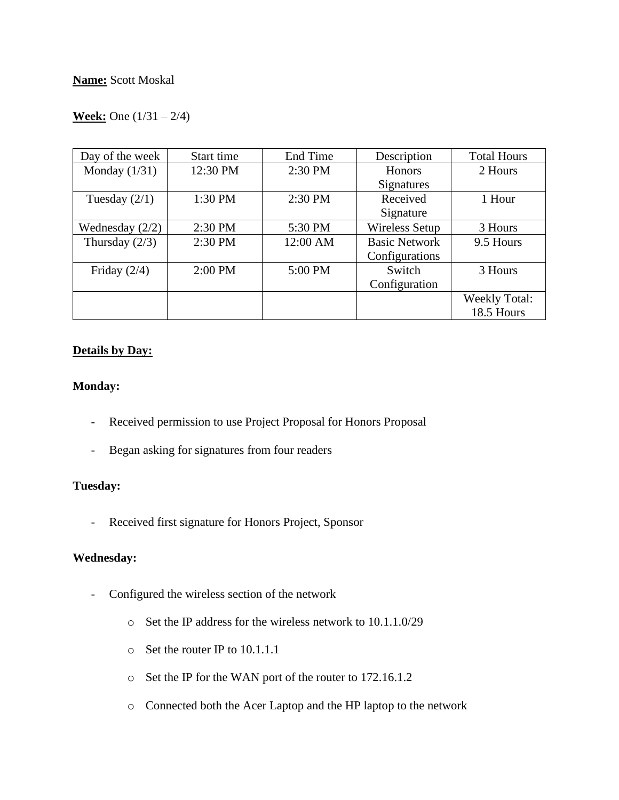## **Week:** One (1/31 – 2/4)

| Day of the week   | Start time | End Time | Description           | <b>Total Hours</b> |
|-------------------|------------|----------|-----------------------|--------------------|
| Monday $(1/31)$   | 12:30 PM   | 2:30 PM  | Honors                | 2 Hours            |
|                   |            |          | Signatures            |                    |
| Tuesday $(2/1)$   | 1:30 PM    | 2:30 PM  | Received              | 1 Hour             |
|                   |            |          | Signature             |                    |
| Wednesday $(2/2)$ | 2:30 PM    | 5:30 PM  | <b>Wireless Setup</b> | 3 Hours            |
| Thursday $(2/3)$  | 2:30 PM    | 12:00 AM | <b>Basic Network</b>  | 9.5 Hours          |
|                   |            |          | Configurations        |                    |
| Friday $(2/4)$    | $2:00$ PM  | 5:00 PM  | Switch                | 3 Hours            |
|                   |            |          | Configuration         |                    |
|                   |            |          |                       | Weekly Total:      |
|                   |            |          |                       | 18.5 Hours         |

## **Details by Day:**

### **Monday:**

- Received permission to use Project Proposal for Honors Proposal
- Began asking for signatures from four readers

## **Tuesday:**

- Received first signature for Honors Project, Sponsor

### **Wednesday:**

- Configured the wireless section of the network
	- o Set the IP address for the wireless network to 10.1.1.0/29
	- o Set the router IP to 10.1.1.1
	- o Set the IP for the WAN port of the router to 172.16.1.2
	- o Connected both the Acer Laptop and the HP laptop to the network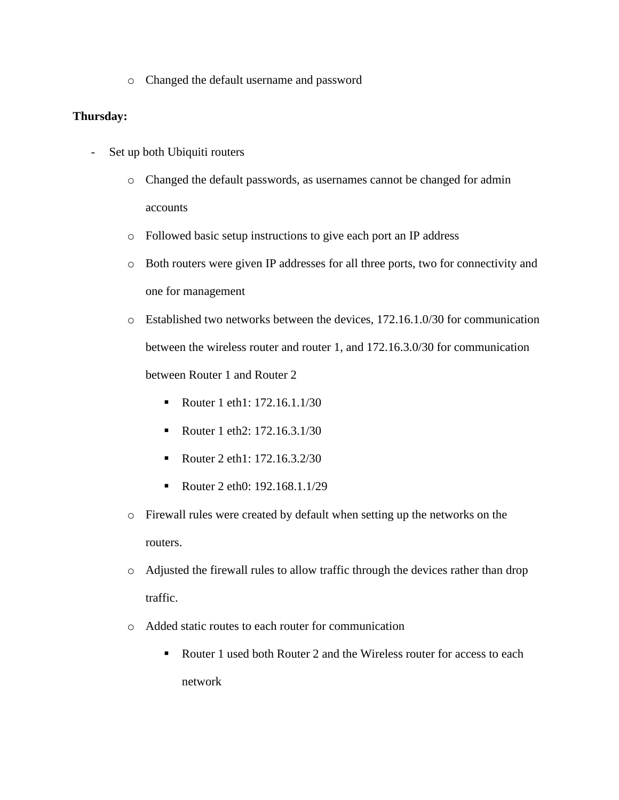o Changed the default username and password

## **Thursday:**

- Set up both Ubiquiti routers
	- o Changed the default passwords, as usernames cannot be changed for admin accounts
	- o Followed basic setup instructions to give each port an IP address
	- o Both routers were given IP addresses for all three ports, two for connectivity and one for management
	- o Established two networks between the devices, 172.16.1.0/30 for communication between the wireless router and router 1, and 172.16.3.0/30 for communication between Router 1 and Router 2
		- Router 1 eth1: 172.16.1.1/30
		- Router 1 eth2: 172.16.3.1/30
		- Router 2 eth1: 172.16.3.2/30
		- Router 2 eth0: 192.168.1.1/29
	- o Firewall rules were created by default when setting up the networks on the routers.
	- o Adjusted the firewall rules to allow traffic through the devices rather than drop traffic.
	- o Added static routes to each router for communication
		- Router 1 used both Router 2 and the Wireless router for access to each network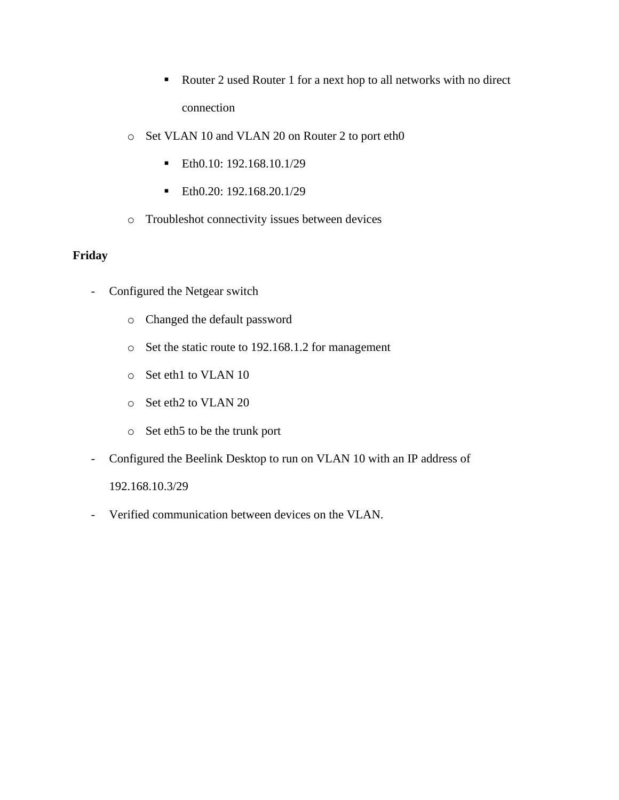- Router 2 used Router 1 for a next hop to all networks with no direct connection
- o Set VLAN 10 and VLAN 20 on Router 2 to port eth0
	- $\blacksquare$  Eth $0.10: 192.168.10.1/29$
	- $\blacktriangleright$  Eth $0.20: 192.168.20.1/29$
- o Troubleshot connectivity issues between devices

## **Friday**

- Configured the Netgear switch
	- o Changed the default password
	- o Set the static route to 192.168.1.2 for management
	- o Set eth1 to VLAN 10
	- o Set eth2 to VLAN 20
	- o Set eth5 to be the trunk port
- Configured the Beelink Desktop to run on VLAN 10 with an IP address of

192.168.10.3/29

- Verified communication between devices on the VLAN.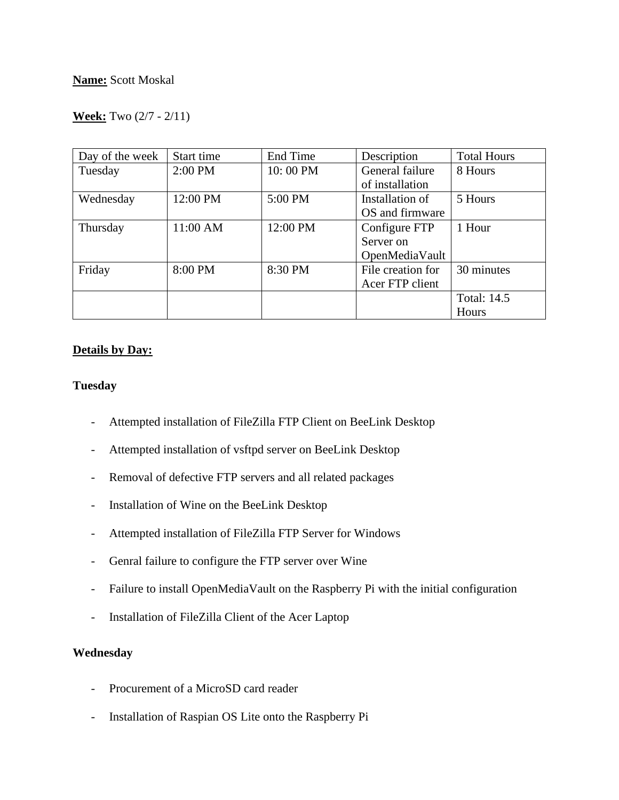## **Week:** Two (2/7 - 2/11)

| Day of the week | Start time | End Time | Description       | <b>Total Hours</b> |
|-----------------|------------|----------|-------------------|--------------------|
| Tuesday         | 2:00 PM    | 10:00 PM | General failure   | 8 Hours            |
|                 |            |          | of installation   |                    |
| Wednesday       | 12:00 PM   | 5:00 PM  | Installation of   | 5 Hours            |
|                 |            |          | OS and firmware   |                    |
| Thursday        | 11:00 AM   | 12:00 PM | Configure FTP     | 1 Hour             |
|                 |            |          | Server on         |                    |
|                 |            |          | OpenMediaVault    |                    |
| Friday          | 8:00 PM    | 8:30 PM  | File creation for | 30 minutes         |
|                 |            |          | Acer FTP client   |                    |
|                 |            |          |                   | <b>Total: 14.5</b> |
|                 |            |          |                   | Hours              |

### **Details by Day:**

#### **Tuesday**

- Attempted installation of FileZilla FTP Client on BeeLink Desktop
- Attempted installation of vsftpd server on BeeLink Desktop
- Removal of defective FTP servers and all related packages
- Installation of Wine on the BeeLink Desktop
- Attempted installation of FileZilla FTP Server for Windows
- Genral failure to configure the FTP server over Wine
- Failure to install OpenMediaVault on the Raspberry Pi with the initial configuration
- Installation of FileZilla Client of the Acer Laptop

## **Wednesday**

- Procurement of a MicroSD card reader
- Installation of Raspian OS Lite onto the Raspberry Pi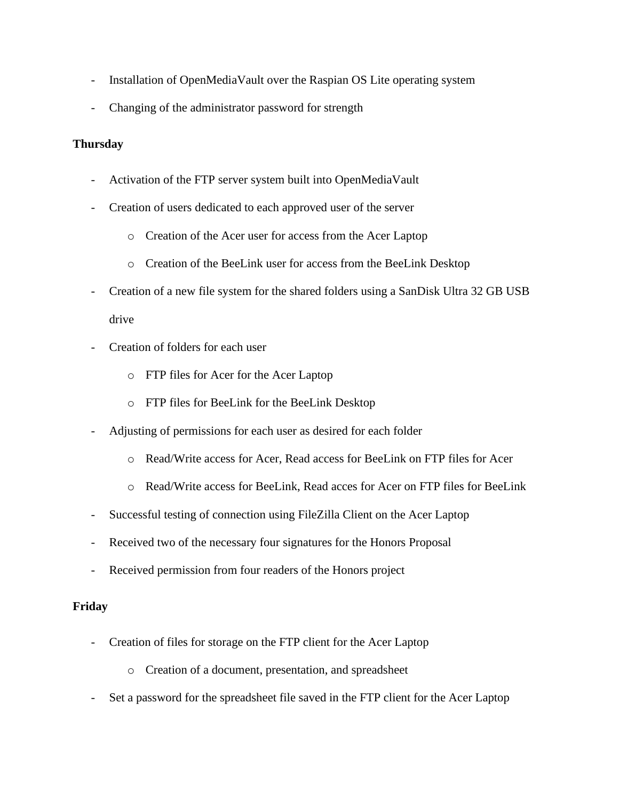- Installation of OpenMediaVault over the Raspian OS Lite operating system
- Changing of the administrator password for strength

## **Thursday**

- Activation of the FTP server system built into OpenMediaVault
- Creation of users dedicated to each approved user of the server
	- o Creation of the Acer user for access from the Acer Laptop
	- o Creation of the BeeLink user for access from the BeeLink Desktop
- Creation of a new file system for the shared folders using a SanDisk Ultra 32 GB USB drive
- Creation of folders for each user
	- o FTP files for Acer for the Acer Laptop
	- o FTP files for BeeLink for the BeeLink Desktop
- Adjusting of permissions for each user as desired for each folder
	- o Read/Write access for Acer, Read access for BeeLink on FTP files for Acer
	- o Read/Write access for BeeLink, Read acces for Acer on FTP files for BeeLink
- Successful testing of connection using FileZilla Client on the Acer Laptop
- Received two of the necessary four signatures for the Honors Proposal
- Received permission from four readers of the Honors project

## **Friday**

- Creation of files for storage on the FTP client for the Acer Laptop
	- o Creation of a document, presentation, and spreadsheet
- Set a password for the spreadsheet file saved in the FTP client for the Acer Laptop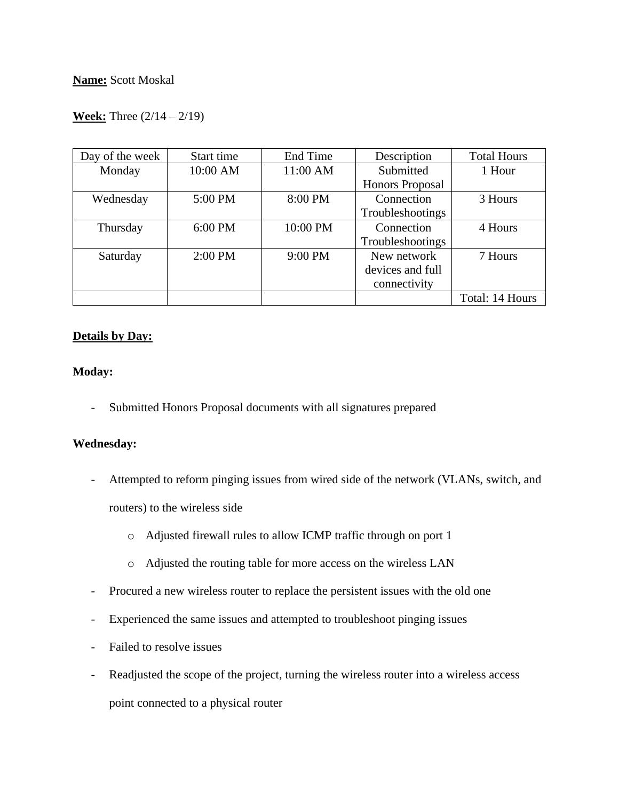## **Week:** Three (2/14 – 2/19)

| Day of the week | Start time | End Time  | Description            | <b>Total Hours</b> |
|-----------------|------------|-----------|------------------------|--------------------|
| Monday          | 10:00 AM   | 11:00 AM  | Submitted              | 1 Hour             |
|                 |            |           | <b>Honors Proposal</b> |                    |
| Wednesday       | 5:00 PM    | 8:00 PM   | Connection             | 3 Hours            |
|                 |            |           | Troubleshootings       |                    |
| Thursday        | 6:00 PM    | 10:00 PM  | Connection             | 4 Hours            |
|                 |            |           | Troubleshootings       |                    |
| Saturday        | $2:00$ PM  | $9:00$ PM | New network            | 7 Hours            |
|                 |            |           | devices and full       |                    |
|                 |            |           | connectivity           |                    |
|                 |            |           |                        | Total: 14 Hours    |

## **Details by Day:**

### **Moday:**

- Submitted Honors Proposal documents with all signatures prepared

### **Wednesday:**

- Attempted to reform pinging issues from wired side of the network (VLANs, switch, and routers) to the wireless side
	- o Adjusted firewall rules to allow ICMP traffic through on port 1
	- o Adjusted the routing table for more access on the wireless LAN
- Procured a new wireless router to replace the persistent issues with the old one
- Experienced the same issues and attempted to troubleshoot pinging issues
- Failed to resolve issues
- Readjusted the scope of the project, turning the wireless router into a wireless access point connected to a physical router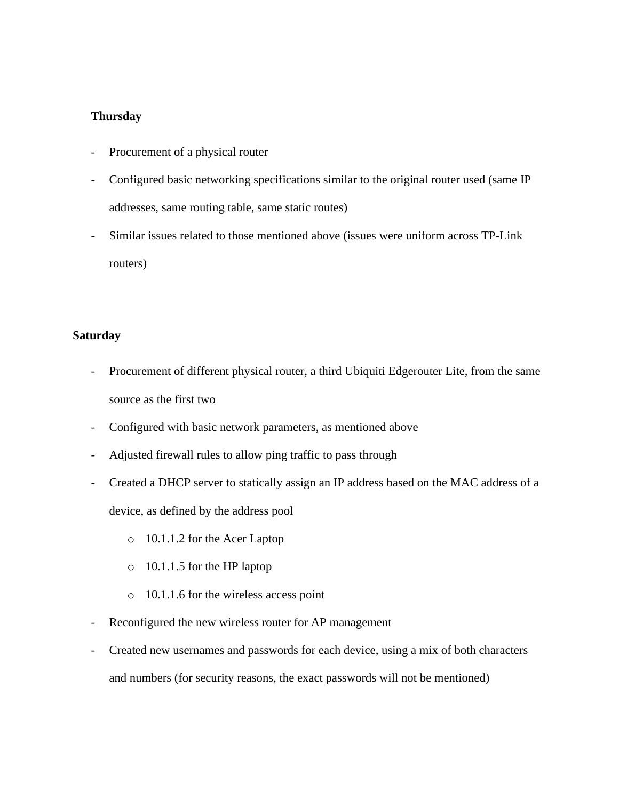#### **Thursday**

- Procurement of a physical router
- Configured basic networking specifications similar to the original router used (same IP addresses, same routing table, same static routes)
- Similar issues related to those mentioned above (issues were uniform across TP-Link routers)

#### **Saturday**

- Procurement of different physical router, a third Ubiquiti Edgerouter Lite, from the same source as the first two
- Configured with basic network parameters, as mentioned above
- Adjusted firewall rules to allow ping traffic to pass through
- Created a DHCP server to statically assign an IP address based on the MAC address of a device, as defined by the address pool
	- o 10.1.1.2 for the Acer Laptop
	- o 10.1.1.5 for the HP laptop
	- o 10.1.1.6 for the wireless access point
- Reconfigured the new wireless router for AP management
- Created new usernames and passwords for each device, using a mix of both characters and numbers (for security reasons, the exact passwords will not be mentioned)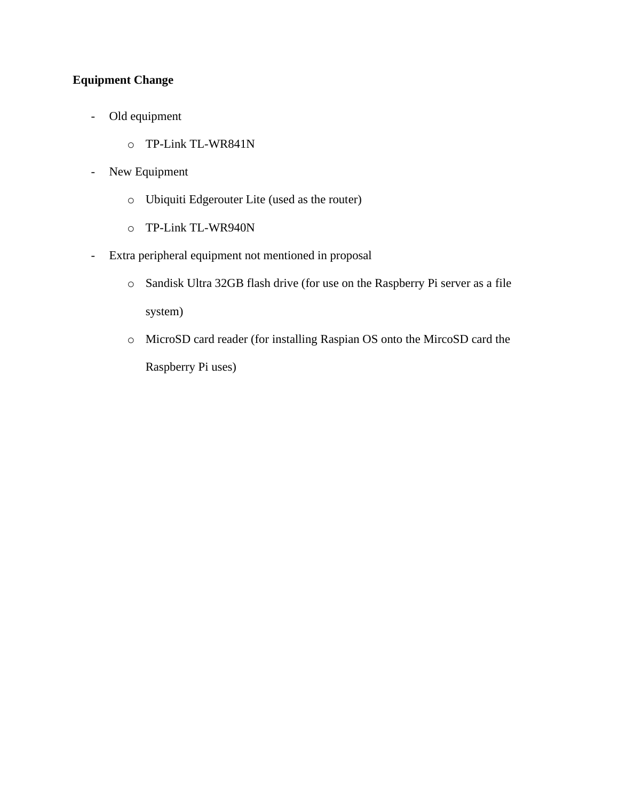# **Equipment Change**

- Old equipment
	- o TP-Link TL-WR841N
- New Equipment
	- o Ubiquiti Edgerouter Lite (used as the router)
	- o TP-Link TL-WR940N
- Extra peripheral equipment not mentioned in proposal
	- o Sandisk Ultra 32GB flash drive (for use on the Raspberry Pi server as a file system)
	- o MicroSD card reader (for installing Raspian OS onto the MircoSD card the Raspberry Pi uses)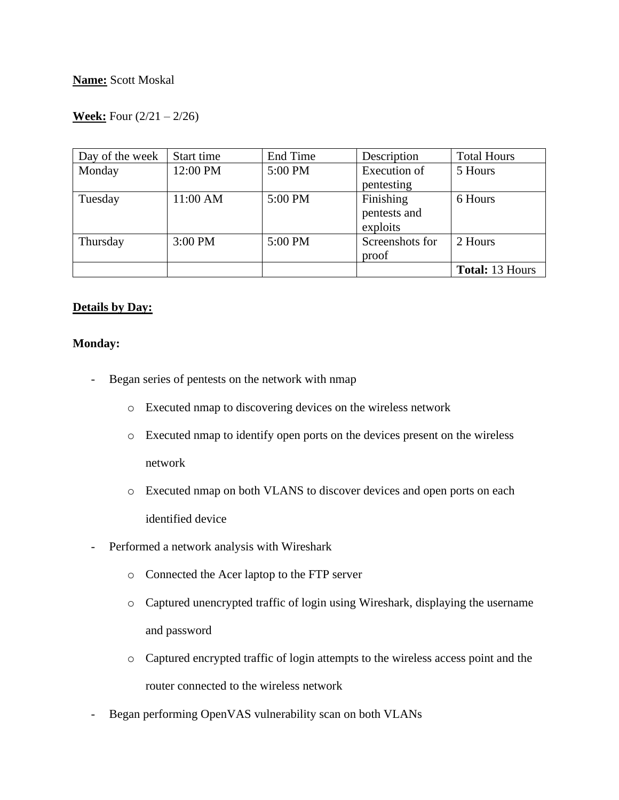## **Week:** Four (2/21 – 2/26)

| Day of the week | Start time | End Time | Description     | <b>Total Hours</b>     |
|-----------------|------------|----------|-----------------|------------------------|
| Monday          | 12:00 PM   | 5:00 PM  | Execution of    | 5 Hours                |
|                 |            |          | pentesting      |                        |
| Tuesday         | 11:00 AM   | 5:00 PM  | Finishing       | 6 Hours                |
|                 |            |          | pentests and    |                        |
|                 |            |          | exploits        |                        |
| Thursday        | 3:00 PM    | 5:00 PM  | Screenshots for | 2 Hours                |
|                 |            |          | proof           |                        |
|                 |            |          |                 | <b>Total: 13 Hours</b> |

### **Details by Day:**

#### **Monday:**

- Began series of pentests on the network with nmap
	- o Executed nmap to discovering devices on the wireless network
	- o Executed nmap to identify open ports on the devices present on the wireless network
	- o Executed nmap on both VLANS to discover devices and open ports on each identified device
- Performed a network analysis with Wireshark
	- o Connected the Acer laptop to the FTP server
	- o Captured unencrypted traffic of login using Wireshark, displaying the username and password
	- o Captured encrypted traffic of login attempts to the wireless access point and the router connected to the wireless network
- Began performing OpenVAS vulnerability scan on both VLANs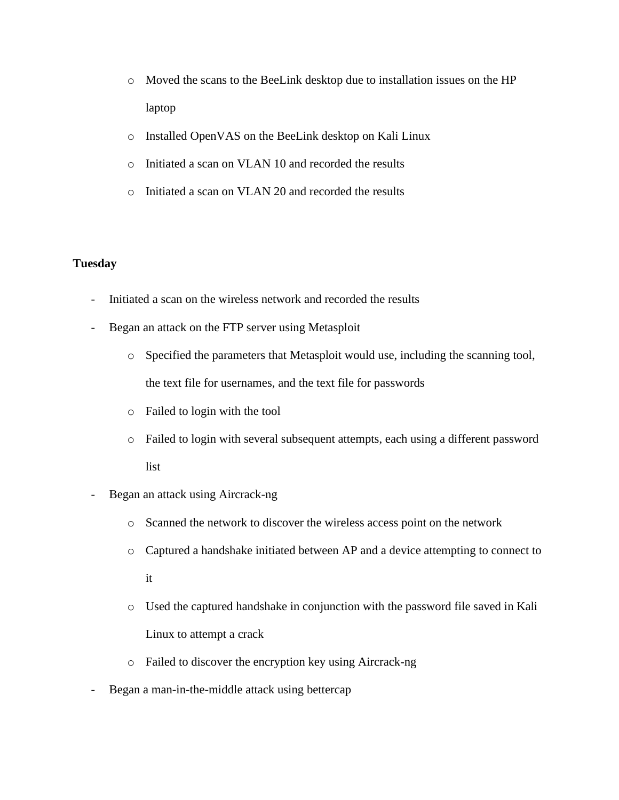- o Moved the scans to the BeeLink desktop due to installation issues on the HP laptop
- o Installed OpenVAS on the BeeLink desktop on Kali Linux
- o Initiated a scan on VLAN 10 and recorded the results
- o Initiated a scan on VLAN 20 and recorded the results

#### **Tuesday**

- Initiated a scan on the wireless network and recorded the results
- Began an attack on the FTP server using Metasploit
	- o Specified the parameters that Metasploit would use, including the scanning tool, the text file for usernames, and the text file for passwords
	- o Failed to login with the tool
	- o Failed to login with several subsequent attempts, each using a different password list
- Began an attack using Aircrack-ng
	- o Scanned the network to discover the wireless access point on the network
	- o Captured a handshake initiated between AP and a device attempting to connect to it
	- o Used the captured handshake in conjunction with the password file saved in Kali Linux to attempt a crack
	- o Failed to discover the encryption key using Aircrack-ng
- Began a man-in-the-middle attack using bettercap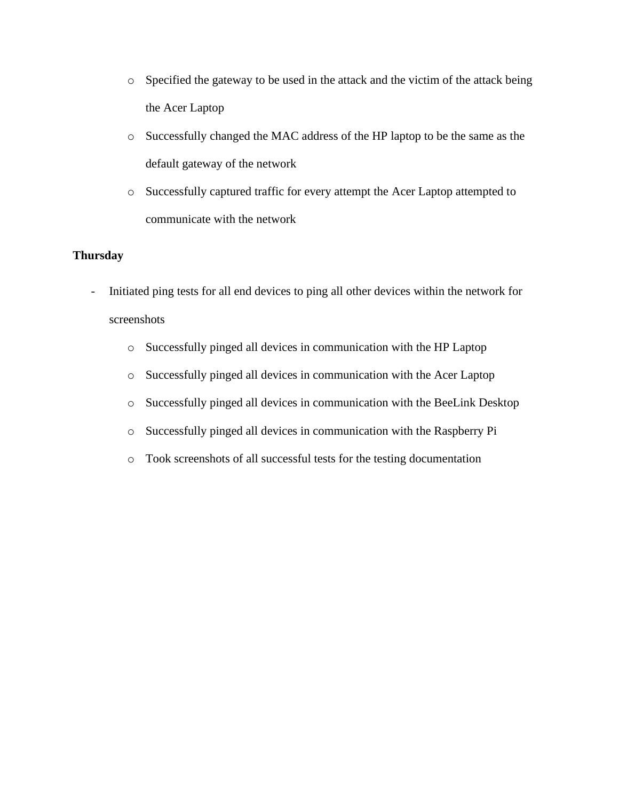- o Specified the gateway to be used in the attack and the victim of the attack being the Acer Laptop
- o Successfully changed the MAC address of the HP laptop to be the same as the default gateway of the network
- o Successfully captured traffic for every attempt the Acer Laptop attempted to communicate with the network

## **Thursday**

- Initiated ping tests for all end devices to ping all other devices within the network for screenshots
	- o Successfully pinged all devices in communication with the HP Laptop
	- o Successfully pinged all devices in communication with the Acer Laptop
	- o Successfully pinged all devices in communication with the BeeLink Desktop
	- o Successfully pinged all devices in communication with the Raspberry Pi
	- o Took screenshots of all successful tests for the testing documentation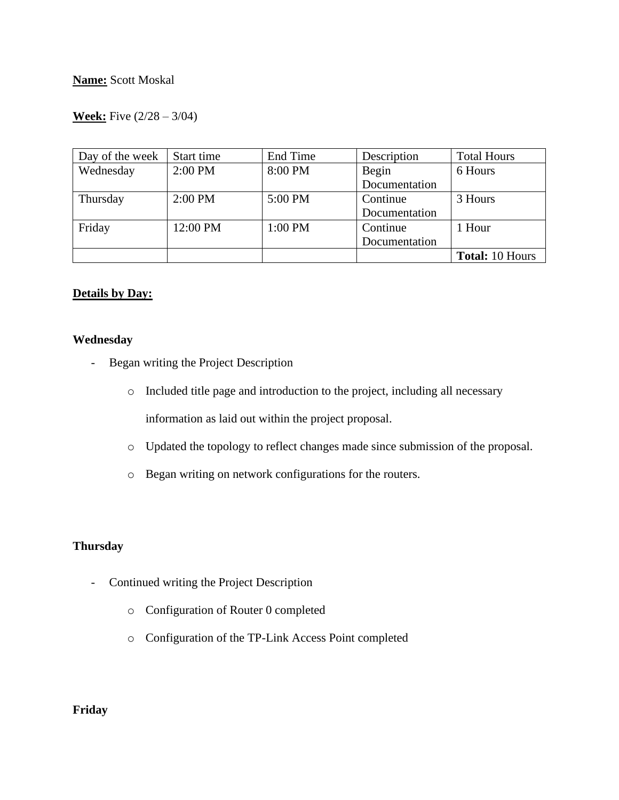## **Week:** Five (2/28 – 3/04)

| Day of the week | Start time | End Time | Description   | <b>Total Hours</b>     |
|-----------------|------------|----------|---------------|------------------------|
| Wednesday       | 2:00 PM    | 8:00 PM  | Begin         | 6 Hours                |
|                 |            |          | Documentation |                        |
| Thursday        | $2:00$ PM  | 5:00 PM  | Continue      | 3 Hours                |
|                 |            |          | Documentation |                        |
| Friday          | 12:00 PM   | 1:00 PM  | Continue      | 1 Hour                 |
|                 |            |          | Documentation |                        |
|                 |            |          |               | <b>Total: 10 Hours</b> |

### **Details by Day:**

#### **Wednesday**

- Began writing the Project Description
	- o Included title page and introduction to the project, including all necessary information as laid out within the project proposal.
	- o Updated the topology to reflect changes made since submission of the proposal.
	- o Began writing on network configurations for the routers.

## **Thursday**

- Continued writing the Project Description
	- o Configuration of Router 0 completed
	- o Configuration of the TP-Link Access Point completed

## **Friday**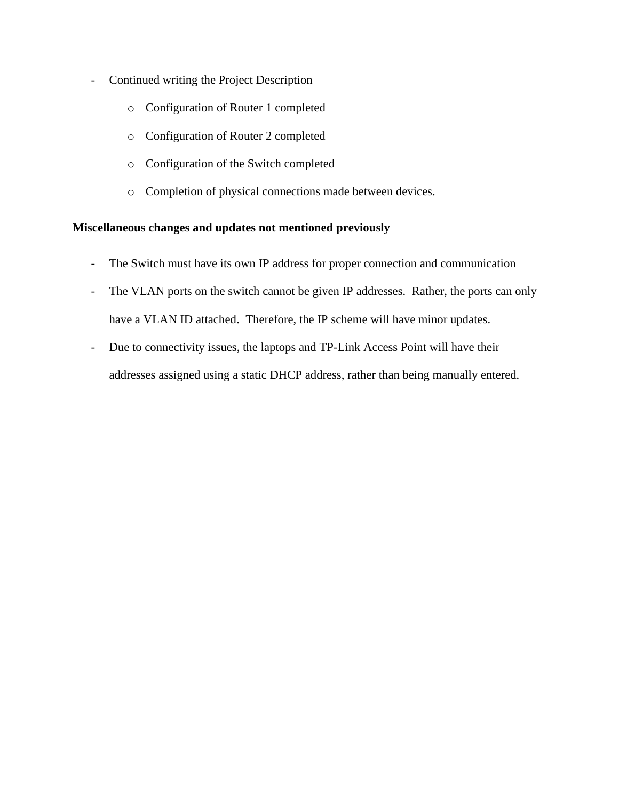- Continued writing the Project Description
	- o Configuration of Router 1 completed
	- o Configuration of Router 2 completed
	- o Configuration of the Switch completed
	- o Completion of physical connections made between devices.

## **Miscellaneous changes and updates not mentioned previously**

- The Switch must have its own IP address for proper connection and communication
- The VLAN ports on the switch cannot be given IP addresses. Rather, the ports can only have a VLAN ID attached. Therefore, the IP scheme will have minor updates.
- Due to connectivity issues, the laptops and TP-Link Access Point will have their addresses assigned using a static DHCP address, rather than being manually entered.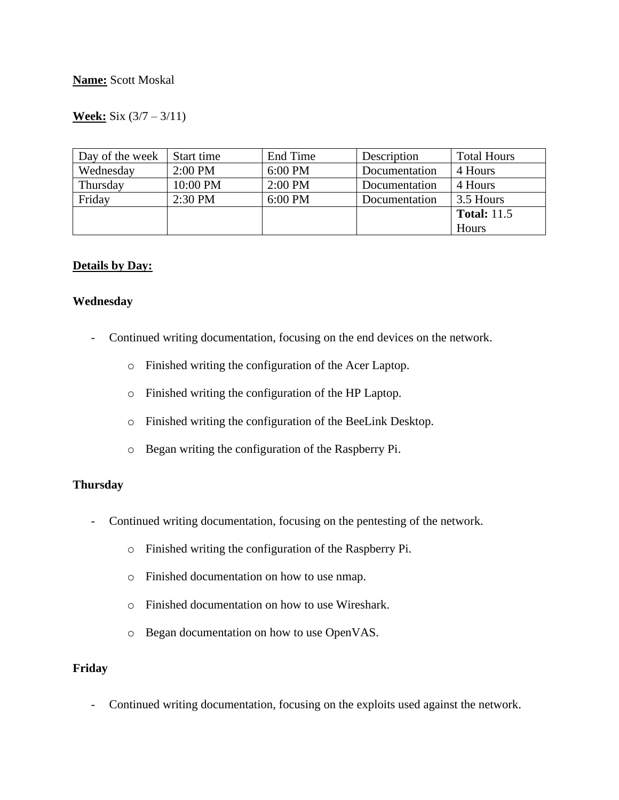## **Week:** Six (3/7 – 3/11)

| Day of the week | Start time | End Time  | Description   | <b>Total Hours</b> |
|-----------------|------------|-----------|---------------|--------------------|
| Wednesday       | $2:00$ PM  | $6:00$ PM | Documentation | 4 Hours            |
| Thursday        | 10:00 PM   | $2:00$ PM | Documentation | 4 Hours            |
| Friday          | $2:30$ PM  | 6:00 PM   | Documentation | 3.5 Hours          |
|                 |            |           |               | <b>Total:</b> 11.5 |
|                 |            |           |               | Hours              |

#### **Details by Day:**

#### **Wednesday**

- Continued writing documentation, focusing on the end devices on the network.
	- o Finished writing the configuration of the Acer Laptop.
	- o Finished writing the configuration of the HP Laptop.
	- o Finished writing the configuration of the BeeLink Desktop.
	- o Began writing the configuration of the Raspberry Pi.

## **Thursday**

- Continued writing documentation, focusing on the pentesting of the network.
	- o Finished writing the configuration of the Raspberry Pi.
	- o Finished documentation on how to use nmap.
	- o Finished documentation on how to use Wireshark.
	- o Began documentation on how to use OpenVAS.

### **Friday**

- Continued writing documentation, focusing on the exploits used against the network.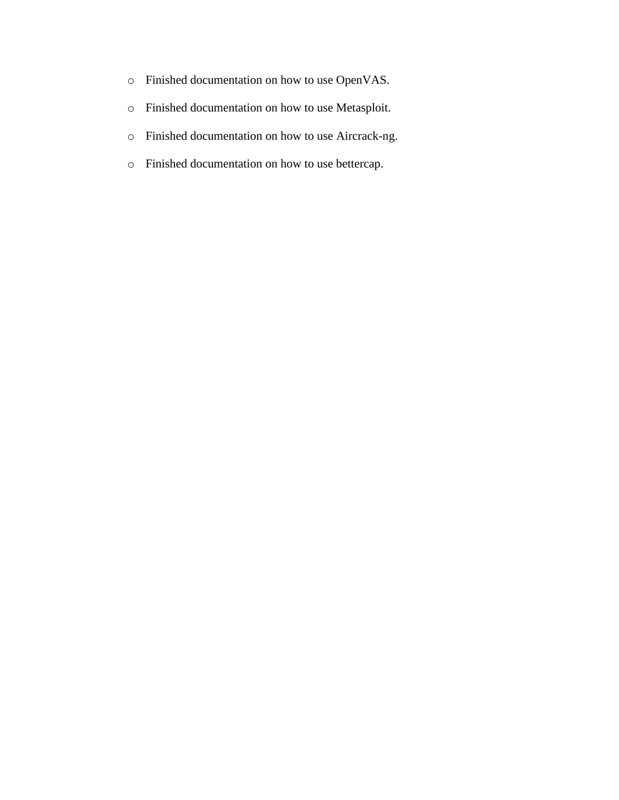- o Finished documentation on how to use OpenVAS.
- o Finished documentation on how to use Metasploit.
- o Finished documentation on how to use Aircrack-ng.
- o Finished documentation on how to use bettercap.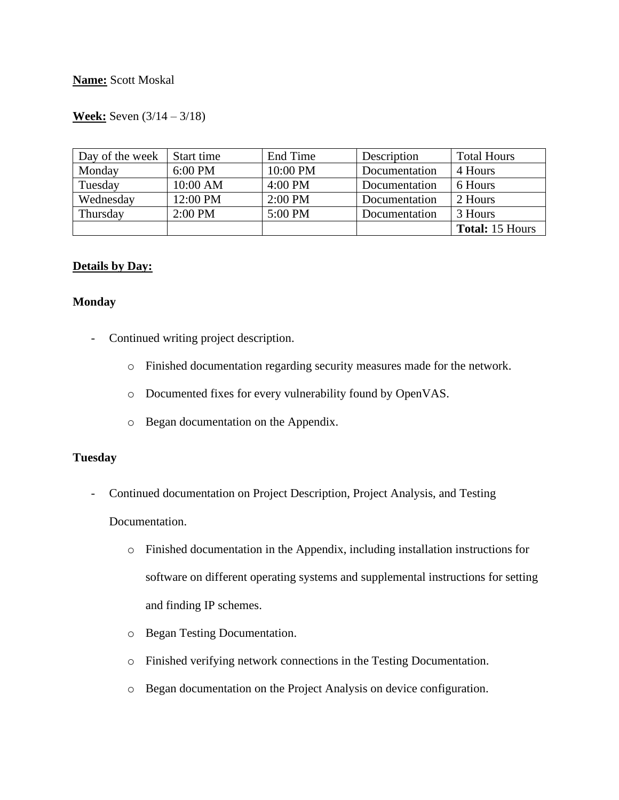## **Week:** Seven (3/14 – 3/18)

| Day of the week | Start time | End Time  | Description   | <b>Total Hours</b>     |
|-----------------|------------|-----------|---------------|------------------------|
| Monday          | 6:00 PM    | 10:00 PM  | Documentation | 4 Hours                |
| Tuesday         | 10:00 AM   | $4:00$ PM | Documentation | 6 Hours                |
| Wednesday       | 12:00 PM   | $2:00$ PM | Documentation | 2 Hours                |
| Thursday        | $2:00$ PM  | 5:00 PM   | Documentation | 3 Hours                |
|                 |            |           |               | <b>Total: 15 Hours</b> |

### **Details by Day:**

#### **Monday**

- Continued writing project description.
	- o Finished documentation regarding security measures made for the network.
	- o Documented fixes for every vulnerability found by OpenVAS.
	- o Began documentation on the Appendix.

#### **Tuesday**

- Continued documentation on Project Description, Project Analysis, and Testing

### Documentation.

- o Finished documentation in the Appendix, including installation instructions for software on different operating systems and supplemental instructions for setting and finding IP schemes.
- o Began Testing Documentation.
- o Finished verifying network connections in the Testing Documentation.
- o Began documentation on the Project Analysis on device configuration.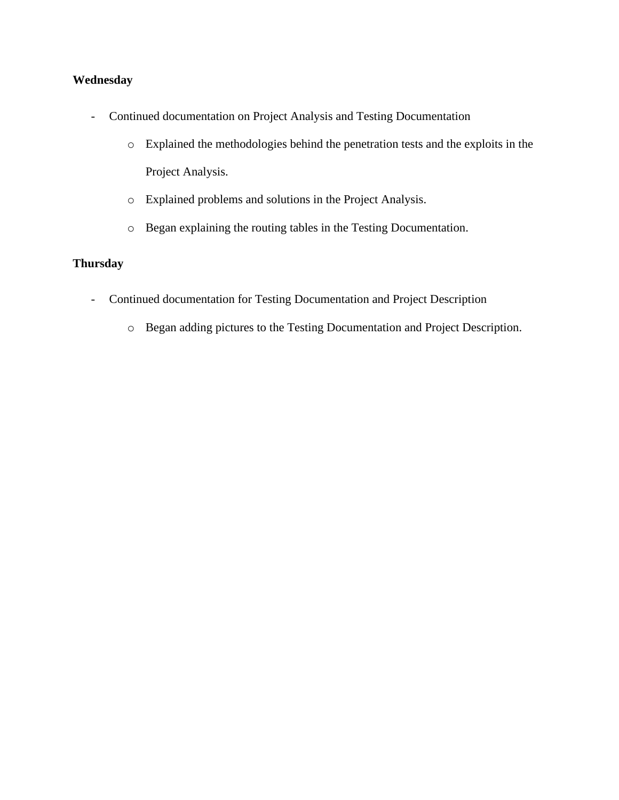# **Wednesday**

- Continued documentation on Project Analysis and Testing Documentation
	- o Explained the methodologies behind the penetration tests and the exploits in the Project Analysis.
	- o Explained problems and solutions in the Project Analysis.
	- o Began explaining the routing tables in the Testing Documentation.

# **Thursday**

- Continued documentation for Testing Documentation and Project Description
	- o Began adding pictures to the Testing Documentation and Project Description.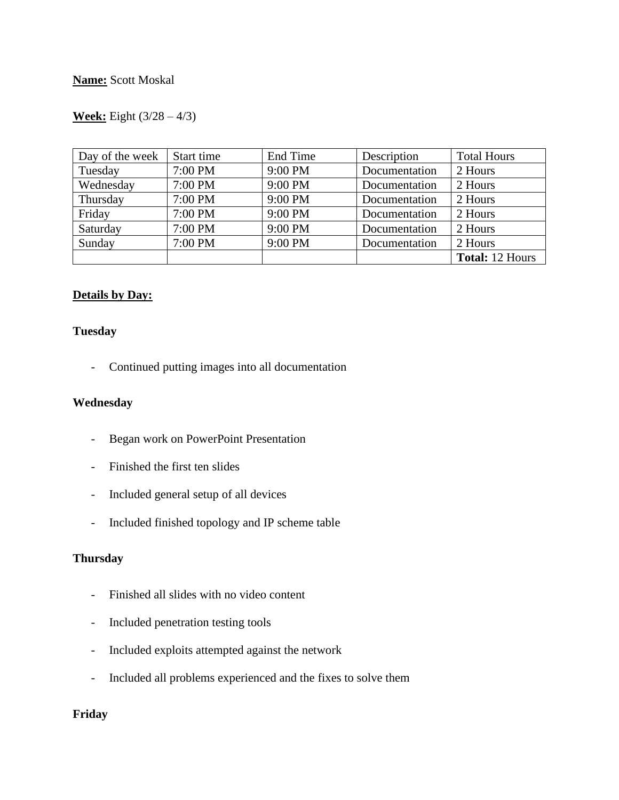## **Week:** Eight (3/28 – 4/3)

| Day of the week | Start time | End Time | Description   | <b>Total Hours</b>     |
|-----------------|------------|----------|---------------|------------------------|
| Tuesday         | 7:00 PM    | 9:00 PM  | Documentation | 2 Hours                |
| Wednesday       | 7:00 PM    | 9:00 PM  | Documentation | 2 Hours                |
| Thursday        | 7:00 PM    | 9:00 PM  | Documentation | 2 Hours                |
| Friday          | 7:00 PM    | 9:00 PM  | Documentation | 2 Hours                |
| Saturday        | 7:00 PM    | 9:00 PM  | Documentation | 2 Hours                |
| Sunday          | 7:00 PM    | 9:00 PM  | Documentation | 2 Hours                |
|                 |            |          |               | <b>Total: 12 Hours</b> |

## **Details by Day:**

## **Tuesday**

- Continued putting images into all documentation

## **Wednesday**

- Began work on PowerPoint Presentation
- Finished the first ten slides
- Included general setup of all devices
- Included finished topology and IP scheme table

### **Thursday**

- Finished all slides with no video content
- Included penetration testing tools
- Included exploits attempted against the network
- Included all problems experienced and the fixes to solve them

## **Friday**